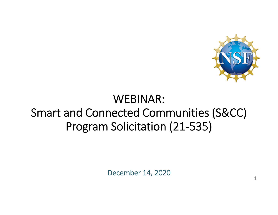

**1**

# WEBINAR: Smart and Connected Communities (S&CC) Program Solicitation (21‐535)

December 14, 2020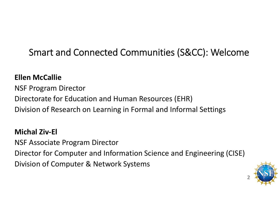## Smart and Connected Communities (S&CC): Welcome

#### **Ellen McCallie**

NSF Program Director Directorate for Education and Human Resources (EHR) Division of Research on Learning in Formal and Informal Settings

#### **Michal Ziv‐El**

NSF Associate Program Director Director for Computer and Information Science and Engineering (CISE) Division of Computer & Network Systems

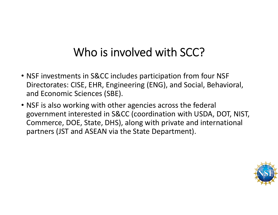# Who is involved with SCC?

- NSF investments in S&CC includes participation from four NSF Directorates: CISE, EHR, Engineering (ENG), and Social, Behavioral, and Economic Sciences (SBE).
- NSF is also working with other agencies across the federal government interested in S&CC (coordination with USDA, DOT, NIST, Commerce, DOE, State, DHS), along with private and international partners (JST and ASEAN via the State Department).

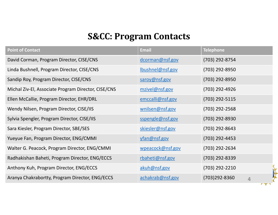#### **S&CC: Program Contacts**

| <b>Point of Contact</b>                             | <b>Email</b>     | <b>Telephone</b>                |
|-----------------------------------------------------|------------------|---------------------------------|
| David Corman, Program Director, CISE/CNS            | dcorman@nsf.gov  | (703) 292-8754                  |
| Linda Bushnell, Program Director, CISE/CNS          | Ibushnel@nsf.gov | (703) 292-8950                  |
| Sandip Roy, Program Director, CISE/CNS              | saroy@nsf.gov    | (703) 292-8950                  |
| Michal Ziv-El, Associate Program Director, CISE/CNS | mzivel@nsf.gov   | (703) 292-4926                  |
| Ellen McCallie, Program Director, EHR/DRL           | emccalli@nsf.gov | (703) 292-5115                  |
| Wendy Nilsen, Program Director, CISE/IIS            | wnilsen@nsf.gov  | (703) 292-2568                  |
| Sylvia Spengler, Program Director, CISE/IIS         | sspengle@nsf.gov | (703) 292-8930                  |
| Sara Kiesler, Program Director, SBE/SES             | skiesler@nsf.gov | (703) 292-8643                  |
| Yueyue Fan, Program Director, ENG/CMMI              | yfan@nsf.gov     | $(703)$ 292-4453                |
| Walter G. Peacock, Program Director, ENG/CMMI       | wpeacock@nsf.gov | (703) 292-2634                  |
| Radhakishan Baheti, Program Director, ENG/ECCS      | rbaheti@nsf.gov  | (703) 292-8339                  |
| Anthony Kuh, Program Director, ENG/ECCS             | akuh@nsf.gov     | (703) 292-2210                  |
| Aranya Chakrabortty, Program Director, ENG/ECCS     | achakrab@nsf.gov | (703)292-8360<br>$\overline{4}$ |

 $\sqrt{1 + \sqrt{1 + \frac{1}{2}} + \sqrt{1 + \frac{1}{2}} + \sqrt{1 + \frac{1}{2}} + \sqrt{1 + \frac{1}{2}} + \sqrt{1 + \frac{1}{2}} + \sqrt{1 + \frac{1}{2}} + \sqrt{1 + \frac{1}{2}} + \sqrt{1 + \frac{1}{2}} + \sqrt{1 + \frac{1}{2}} + \sqrt{1 + \frac{1}{2}} + \sqrt{1 + \frac{1}{2}} + \sqrt{1 + \frac{1}{2}} + \sqrt{1 + \frac{1}{2}} + \sqrt{1 + \frac{1}{2}} + \sqrt{1 + \frac{1}{2}} + \sqrt{1 + \frac{1}{2}} + \sqrt{1 + \frac$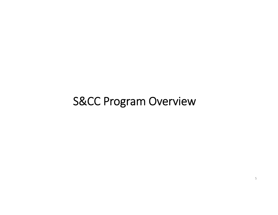## S&CC Program Overview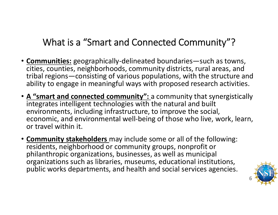## What is <sup>a</sup> "Smart and Connected Community"?

- **Communities:** geographically‐delineated boundaries—such as towns, cities, counties, neighborhoods, community districts, rural areas, and tribal regions—consisting of various populations, with the structure and ability to engage in meaningful ways with proposed research activities.
- **A "smart and connected community":** <sup>a</sup> community that synergistically integrates intelligent technologies with the natural and built environments, including infrastructure, to improve the social, economic, and environmental well‐being of those who live, work, learn, or travel within it.
- **Community stakeholders** may include some or all of the following: residents, neighborhood or community groups, nonprofit or philanthropic organizations, businesses, as well as municipal organizations such as libraries, museums, educational institutions, public works departments, and health and social services agencies.

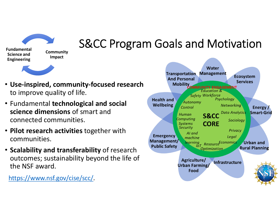**Community Fundamental**

**Science andEngineering**

# S&CC Program Goals and Motivation

- **Use‐inspired, community‐focused research** to improve quality of life.
- Fundamental **technological and social science dimensions** of smart andconnected communities.

**Impact**

- **Pilot research activities** together with communities.
- **Scalability and transferability** of research outcomes; sustainability beyond the life of the NSF award.

https://www.nsf.gov/cise/scc/.

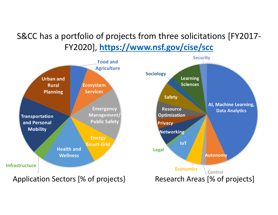## S&CC has <sup>a</sup> portfolio of projects from three solicitations [FY2017‐ FY2020], **https://www.nsf.gov/cise/scc**

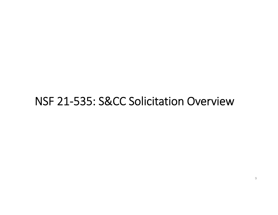## NSF 21‐535: S&CC Solicitation Overview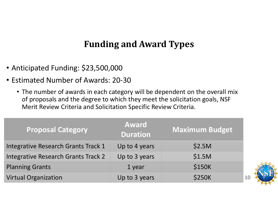### **Funding and Award Types**

- Anticipated Funding: \$23,500,000
- Estimated Number of Awards: 20‐30
	- The number of awards in each category will be dependent on the overall mix of proposals and the degree to which they meet the solicitation goals, NSF Merit Review Criteria and Solicitation Specific Review Criteria.

| <b>Proposal Category</b>            | <b>Award</b><br><b>Duration</b> | <b>Maximum Budget</b> |
|-------------------------------------|---------------------------------|-----------------------|
| Integrative Research Grants Track 1 | Up to 4 years                   | \$2.5M                |
| Integrative Research Grants Track 2 | Up to 3 years                   | \$1.5M                |
| <b>Planning Grants</b>              | 1 year                          | <b>\$150K</b>         |
| <b>Virtual Organization</b>         | Up to 3 years                   | <b>\$250K</b>         |



**10**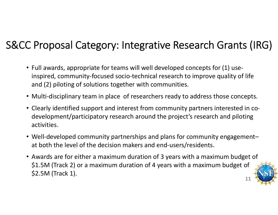## S&CC Proposal Category: Integrative Research Grants (IRG)

- Full awards, appropriate for teams will well developed concepts for (1) use‐ inspired, community‐focused socio‐technical research to improve quality of life and (2) piloting of solutions together with communities.
- Multi-disciplinary team in place of researchers ready to address those concepts.
- Clearly identified support and interest from community partners interested in co‐ development/participatory research around the project's research and piloting activities.
- Well-developed community partnerships and plans for community engagement– at both the level of the decision makers and end‐users/residents.
- Awards are for either <sup>a</sup> maximum duration of 3 years with <sup>a</sup> maximum budget of \$1.5M (Track 2) or <sup>a</sup> maximum duration of <sup>4</sup> years with <sup>a</sup> maximum budget of \$2.5M (Track 1). **11**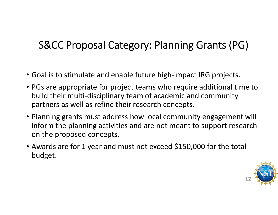## S&CC Proposal Category: Planning Grants (PG)

- Goal is to stimulate and enable future high‐impact IRG projects.
- PGs are appropriate for project teams who require additional time to build their multi‐disciplinary team of academic and community partners as well as refine their research concepts.
- Planning grants must address how local community engagement will inform the planning activities and are not meant to support research on the proposed concepts.
- Awards are for 1 year and must not exceed \$150,000 for the total budget.

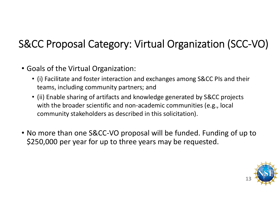# S&CC Proposal Category: Virtual Organization (SCC‐VO)

- Goals of the Virtual Organization:
	- (i) Facilitate and foster interaction and exchanges among S&CC PIs and their teams, including community partners; and
	- (ii) Enable sharing of artifacts and knowledge generated by S&CC projects with the broader scientific and non‐academic communities (e.g., local community stakeholders as described in this solicitation).
- No more than one S&CC‐VO proposal will be funded. Funding of up to \$250,000 per year for up to three years may be requested.

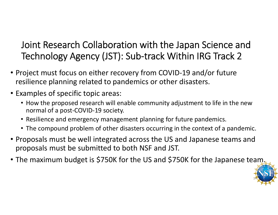## Joint Research Collaboration with the Japan Science and Technology Agency (JST): Sub‐track Within IRG Track 2

- Project must focus on either recovery from COVID‐19 and/or future resilience planning related to pandemics or other disasters.
- Examples of specific topic areas:
	- How the proposed research will enable community adjustment to life in the new normal of a post‐COVID‐19 society.
	- Resilience and emergency management planning for future pandemics.
	- The compound problem of other disasters occurring in the context of <sup>a</sup> pandemic.
- Proposals must be well integrated across the US and Japanese teams and proposals must be submitted to both NSF and JST.
- The maximum budget is \$750K for the US and \$750K for the Japanese team.

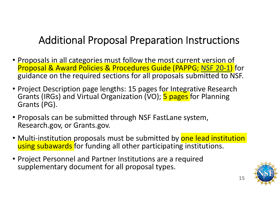## Additional Proposal Preparation Instructions

- Proposals in all categories must follow the most current version of Proposal & Award Policies & Procedures Guide (PAPPG; NSF 20‐1) for guidance on the required sections for all proposals submitted to NSF.
- Project Description page lengths: 15 pages for Integrative Research Grants (IRGs) and Virtual Organization (VO); <mark>5 pages </mark>for Planning Grants (PG).
- Proposals can be submitted through NSF FastLane system, Research.gov, or Grants.gov.
- <u>Multi-institution p</u>roposals must be submitted by <mark>one lead institution</mark> using subawards for funding all other participating institutions.
- Project Personnel and Partner Institutions are <sup>a</sup> required supplementary document for all proposal types.



**15**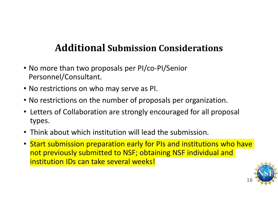## **Additional Submission Considerations**

- No more than two proposals per PI/co‐PI/Senior Personnel/Consultant.
- No restrictions on who may serve as PI.
- No restrictions on the number of proposals per organization.
- Letters of Collaboration are strongly encouraged for all proposal types.
- Think about which institution will lead the submission.
- Start submission preparation early for PIs and institutions who have not previously submitted to NSF; obtaining NSF individual and institution IDs can take several weeks!

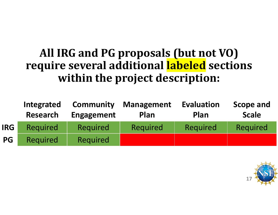## **All IRG and PG proposals (but not VO) require several additional labeled sections within the project description:**

|            | Integrated<br><b>Research</b> | <b>Community</b><br><b>Engagement</b> | <b>Management</b><br>Plan | <b>Evaluation</b><br>Plan | <b>Scope and</b><br><b>Scale</b> |
|------------|-------------------------------|---------------------------------------|---------------------------|---------------------------|----------------------------------|
| <b>IRG</b> | <b>Required</b>               | <b>Required</b>                       | Required                  | Required                  | Required                         |
| <b>PG</b>  | Required                      | <b>Required</b>                       |                           |                           |                                  |

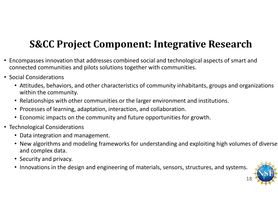## **S&CC Project Component: Integrative Research**

- Encompasses innovation that addresses combined social and technological aspects of smart and connected communities and pilots solutions together with communities.
- Social Considerations
	- Attitudes, behaviors, and other characteristics of community inhabitants, groups and organizations within the community.
	- Relationships with other communities or the larger environment and institutions.
	- Processes of learning, adaptation, interaction, and collaboration.
	- Economic impacts on the community and future opportunities for growth.
- Technological Considerations
	- Data integration and management.
	- New algorithms and modeling frameworks for understanding and exploiting high volumes of diverse and complex data.
	- Security and privacy.
	- Innovations in the design and engineering of materials, sensors, structures, and systems.

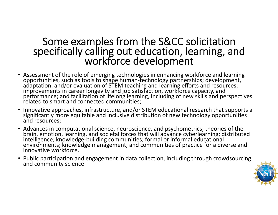# Some examples from the S&CC solicitation<br> specifically calling out education, learning, and<br> workforce development

- Assessment of the role of emerging technologies in enhancing workforce and learning opportunities, such as tools to shape human-technology partnerships; development,<br>adaptation, and/or evaluation of STEM teaching and learning efforts and resources; improvements in career longevity and job satisfaction, workforce capacity, and<br>performance; and facilitation of lifelong learning, including of new skills and perspectives<br>related to smart and connected communities: d to smart and connected communities;
- Innovative approaches, infrastructure, and/or STEM educational research that supports a significantly more equitable and inclusive distribution of new technology opportunities andand resources;
- Advances in computational science, neuroscience, and psychometrics; theories of the<br>brain, emotion, learning, and societal forces that will advance cyberlearning; distributed<br>intelligence; knowledge-building communities; environments; knowledge management; and communities of practice for a diverse and innovative workforce.
- Public participation and engagement in data collection, including through crowdsourcing andand community science

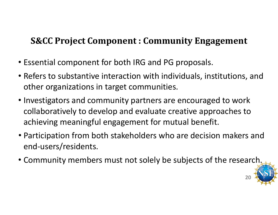### **S&CC Project Component : Community Engagement**

- Essential component for both IRG and PG proposals.
- Refers to substantive interaction with individuals, institutions, and other organizations in target communities.
- Investigators and community partners are encouraged to work collaboratively to develop and evaluate creative approaches to achieving meaningful engagement for mutual benefit.
- Participation from both stakeholders who are decision makers and end‐users/residents.
- Community members must not solely be subjects of the research.

**20**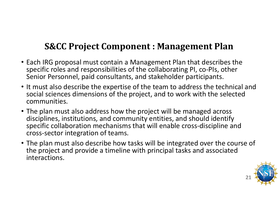### **S&CC Project Component : Management Plan**

- Each IRG proposal must contain <sup>a</sup> Management Plan that describes the specific roles and responsibilities of the collaborating PI, co‐PIs, other Senior Personnel, paid consultants, and stakeholder participants.
- It must also describe the expertise of the team to address the technical and social sciences dimensions of the project, and to work with the selected communities.
- The plan must also address how the project will be managed across disciplines, institutions, and community entities, and should identify specific collaboration mechanisms that will enable cross‐discipline and cross‐sector integration of teams.
- The plan must also describe how tasks will be integrated over the course of the project and provide <sup>a</sup> timeline with principal tasks and associated interactions.

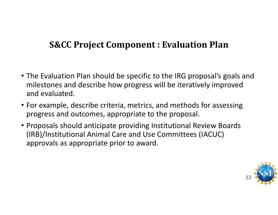#### **S&CC Project Component : Evaluation Plan**

- The Evaluation Plan should be specific to the IRG proposal's goals and milestones and describe how progress will be iteratively improved and evaluated.
- For example, describe criteria, metrics, and methods for assessing progress and outcomes, appropriate to the proposal.
- Proposals should anticipate providing Institutional Review Boards (IRB)/Institutional Animal Care and Use Committees (IACUC) approvals as appropriate prior to award.

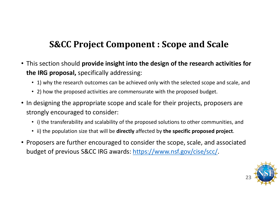### **S&CC Project Component : Scope and Scale**

- This section should **provide insight into the design of the research activities for the IRG proposal,** specifically addressing:
	- 1) why the research outcomes can be achieved only with the selected scope and scale, and
	- 2) how the proposed activities are commensurate with the proposed budget.
- In designing the appropriate scope and scale for their projects, proposers are strongly encouraged to consider:
	- i) the transferability and scalability of the proposed solutions to other communities, and
	- ii) the population size that will be **directly** affected by **the specific proposed project**.
- Proposers are further encouraged to consider the scope, scale, and associated budget of previous S&CC IRG awards: https://www.nsf.gov/cise/scc/.

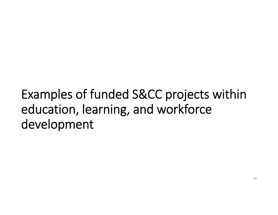# Examples of funded S&CC projects within education, learning, and workforce development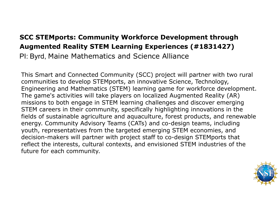#### **SCC STEMports: Community Workforce Development through Augmented Reality STEM Learning Experiences (#1831427)**

PI: Byrd, Maine Mathematics and Science Alliance

This Smart and Connected Community (SCC) project will partner with two rural communities to develop STEMports, an innovative Science, Technology, Engineering and Mathematics (STEM) learning game for workforce development. The game's activities will take players on localized Augmented Reality (AR) missions to both engage in STEM learning challenges and discover emerging STEM careers in their community, specifically highlighting innovations in the fields of sustainable agriculture and aquaculture, forest products, and renewable energy. Community Advisory Teams (CATs) and co-design teams, including youth, representatives from the targeted emerging STEM economies, and decision-makers will partner with project staff to co-design STEMports that reflect the interests, cultural contexts, and envisioned STEM industries of the future for each community.

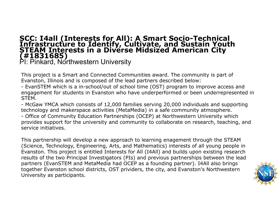# **SCC: I4all (Interests for All): A Smart Socio-Technical Infrastructure to Identify, Cultivate, and Sustain Youth STEAM Interests in a Diverse Midsized American City (#1831685)<br>(#1831685) <br>PI: Pinkard, Northwestern Univers**

This project is a Smart and Connected Communities award. The community is part of Evanston, Illinois and is composed of the lead partners described below:

- EvanSTEM which is a in-school/out of school time (OST) program to improve access and engagement for students in Evanston who have underperformed or been underrepresented in STEM.

- McGaw YMCA which consists of 12,000 families serving 20,000 individuals and supporting technology and makerspace activities (MetaMedia) in a safe community atmosphere.

- Office of Community Education Partnerships (OCEP) at Northwestern University which provides support for the university and community to collaborate on research, teaching, and service initiatives.

This partnership will develop a new approach to learning enagement through the STEAM (Science, Technology, Engineering, Arts, and Mathematics) interests of all young people in Evanston. This project is entitled Interests for All (I4All) and builds upon existing research results of the two Principal Investigators (PIs) and previous partnerships between the lead partners (EvanSTEM and MetaMedia had OCEP as a founding partner). I4All also brings together Evanston school districts, OST prividers, the city, and Evanston's Northwestern University as participants.

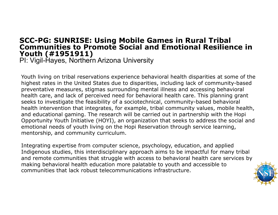## **SCC-PG: SUNRISE: Using Mobile Games in Rural Tribal<br>Communities to Promote Social and Emotional Resilience in Youth (#1951911)**

PI: Vigil-Hayes, Northern Arizona University

Youth living on tribal reservations experience behavioral health disparities at some of the highest rates in the United States due to disparities, including lack of community-based preventative measures, stigmas surrounding mental illness and accessing behavioral health care, and lack of perceived need for behavioral health care. This planning grant seeks to investigate the feasibility of a sociotechnical, community-based behavioral health intervention that integrates, for example, tribal community values, mobile health, and educational gaming. The research will be carried out in partnership with the Hopi Opportunity Youth Initiative (HOYI), an organization that seeks to address the social and emotional needs of youth living on the Hopi Reservation through service learning, mentorship, and community curriculum.

Integrating expertise from computer science, psychology, education, and applied Indigenous studies, this interdisciplinary approach aims to be impactful for many tribal and remote communities that struggle with access to behavioral health care services by making behavioral health education more palatable to youth and accessible to communities that lack robust telecommunications infrastructure.

27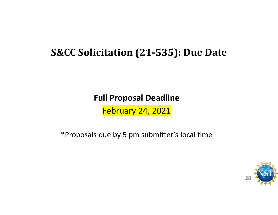## **S&CC Solicitation (21‐535): Due Date**

**Full Proposal Deadline**

February 24, 2021

\*Proposals due by 5 pm submitter's local time

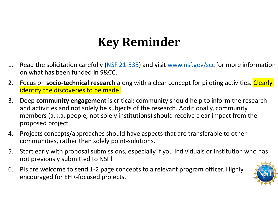# **Key Reminder**

- 1. Read the solicitation carefully (NSF 21-535) and visit www.nsf.gov/scc for more information on what has been funded in S&CC.
- 2. Focus on **socio‐technical research** along with <sup>a</sup> clear concept for piloting activities**.** Clearly identify the discoveries to be made!
- 3. Deep **community engagement** is critical**;** community should help to inform the research and activities and not solely be subjects of the research. Additionally, community members (a.k.a. people, not solely institutions) should receive clear impact from the proposed project.
- 4. Projects concepts/approaches should have aspects that are transferable to other communities, rather than solely point‐solutions.
- 5. Start early with proposal submissions, especially if you individuals or institution who has not previously submitted to NSF!
- 6. PIs are welcome to send 1‐2 page concepts to <sup>a</sup> relevant program officer. Highly encouraged for EHR-focused projects.

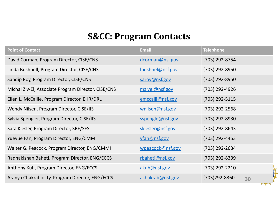#### **S&CC: Program Contacts**

| <b>Point of Contact</b>                             | <b>Email</b>     | <b>Telephone</b>    |
|-----------------------------------------------------|------------------|---------------------|
| David Corman, Program Director, CISE/CNS            | dcorman@nsf.gov  | (703) 292-8754      |
| Linda Bushnell, Program Director, CISE/CNS          | Ibushnel@nsf.gov | (703) 292-8950      |
| Sandip Roy, Program Director, CISE/CNS              | saroy@nsf.gov    | (703) 292-8950      |
| Michal Ziv-El, Associate Program Director, CISE/CNS | mzivel@nsf.gov   | (703) 292-4926      |
| Ellen L. McCallie, Program Director, EHR/DRL        | emccalli@nsf.gov | (703) 292-5115      |
| Wendy Nilsen, Program Director, CISE/IIS            | wnilsen@nsf.gov  | (703) 292-2568      |
| Sylvia Spengler, Program Director, CISE/IIS         | sspengle@nsf.gov | (703) 292-8930      |
| Sara Kiesler, Program Director, SBE/SES             | skiesler@nsf.gov | (703) 292-8643      |
| Yueyue Fan, Program Director, ENG/CMMI              | yfan@nsf.gov     | (703) 292-4453      |
| Walter G. Peacock, Program Director, ENG/CMMI       | wpeacock@nsf.gov | (703) 292-2634      |
| Radhakishan Baheti, Program Director, ENG/ECCS      | rbaheti@nsf.gov  | (703) 292-8339      |
| Anthony Kuh, Program Director, ENG/ECCS             | akuh@nsf.gov     | (703) 292-2210      |
| Aranya Chakrabortty, Program Director, ENG/ECCS     | achakrab@nsf.gov | (703)292-8360<br>30 |

 $\mathbf{r}$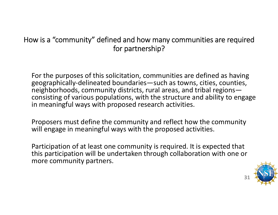#### How is <sup>a</sup> "community" defined and how many communities are required for partnership?

For the purposes of this solicitation, communities are defined as having geographically‐delineated boundaries—such as towns, cities, counties, neighborhoods, community districts, rural areas, and tribal regions consisting of various populations, with the structure and ability to engage in meaningful ways with proposed research activities.

Proposers must define the community and reflect how the community will engage in meaningful ways with the proposed activities.

Participation of at least one community is required. It is expected that this participation will be undertaken through collaboration with one or more community partners.



**31**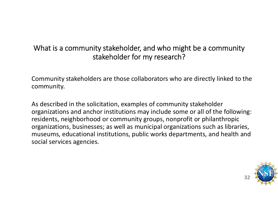#### What is <sup>a</sup> community stakeholder, and who might be <sup>a</sup> community stakeholder for my research?

Community stakeholders are those collaborators who are directly linked to the community.

As described in the solicitation, examples of community stakeholder organizations and anchor institutions may include some or all of the following: residents, neighborhood or community groups, nonprofit or philanthropic organizations, businesses; as well as municipal organizations such as libraries, museums, educational institutions, public works departments, and health and social services agencies.